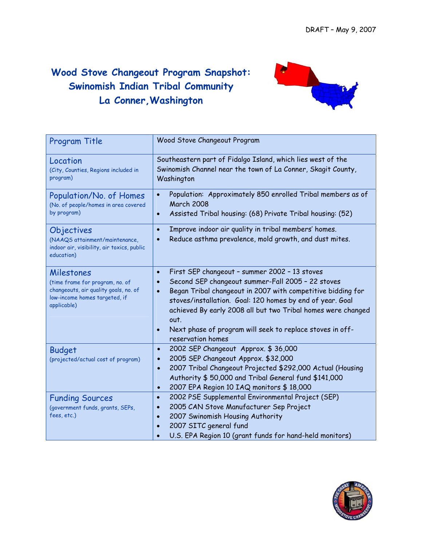## **Wood Stove Changeout Program Snapshot: Swinomish Indian Tribal Community La Conner,Washington**



| Program Title                                                                                                                          | Wood Stove Changeout Program                                                                                                                                                                                                                                                                                                                                                                                                                 |
|----------------------------------------------------------------------------------------------------------------------------------------|----------------------------------------------------------------------------------------------------------------------------------------------------------------------------------------------------------------------------------------------------------------------------------------------------------------------------------------------------------------------------------------------------------------------------------------------|
| Location<br>(City, Counties, Regions included in<br>program)                                                                           | Southeastern part of Fidalgo Island, which lies west of the<br>Swinomish Channel near the town of La Conner, Skagit County,<br>Washington                                                                                                                                                                                                                                                                                                    |
| Population/No. of Homes<br>(No. of people/homes in area covered<br>by program)                                                         | Population: Approximately 850 enrolled Tribal members as of<br><b>March 2008</b><br>Assisted Tribal housing: (68) Private Tribal housing: (52)<br>$\bullet$                                                                                                                                                                                                                                                                                  |
| Objectives<br>(NAAQS attainment/maintenance,<br>indoor air, visibility, air toxics, public<br>education)                               | Improve indoor air quality in tribal members' homes.<br>$\bullet$<br>Reduce asthma prevalence, mold growth, and dust mites.                                                                                                                                                                                                                                                                                                                  |
| Milestones<br>(time frame for program, no. of<br>changeouts, air quality goals, no. of<br>low-income homes targeted, if<br>applicable) | First SEP changeout - summer 2002 - 13 stoves<br>$\bullet$<br>Second SEP changeout summer-Fall 2005 - 22 stoves<br>$\bullet$<br>Began Tribal changeout in 2007 with competitive bidding for<br>$\bullet$<br>stoves/installation. Goal: 120 homes by end of year. Goal<br>achieved By early 2008 all but two Tribal homes were changed<br>out.<br>Next phase of program will seek to replace stoves in off-<br>$\bullet$<br>reservation homes |
| <b>Budget</b><br>(projected/actual cost of program)                                                                                    | 2002 SEP Changeout Approx. \$36,000<br>$\bullet$<br>2005 SEP Changeout Approx. \$32,000<br>$\bullet$<br>2007 Tribal Changeout Projected \$292,000 Actual (Housing<br>$\bullet$<br>Authority \$ 50,000 and Tribal General fund \$141,000<br>2007 EPA Region 10 IAQ monitors \$18,000<br>$\bullet$                                                                                                                                             |
| <b>Funding Sources</b><br>(government funds, grants, SEPs,<br>fees, etc.)                                                              | 2002 PSE Supplemental Environmental Project (SEP)<br>$\bullet$<br>2005 CAN Stove Manufacturer Sep Project<br>$\bullet$<br>2007 Swinomish Housing Authority<br>$\bullet$<br>2007 SITC general fund<br>$\bullet$<br>U.S. EPA Region 10 (grant funds for hand-held monitors)                                                                                                                                                                    |

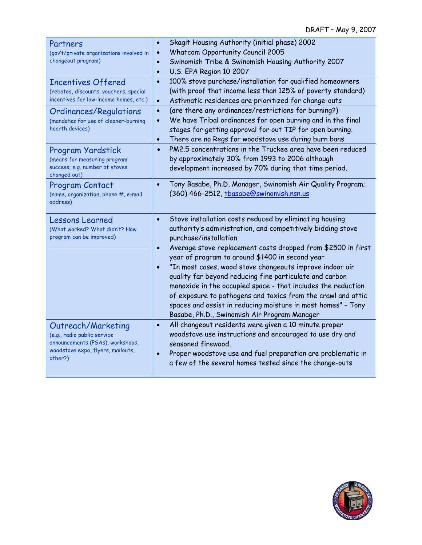| Partners                                                              | Skagit Housing Authority (initial phase) 2002<br>$\bullet$                |
|-----------------------------------------------------------------------|---------------------------------------------------------------------------|
| (gov't/private organizations involved in                              | <b>Whatcom Opportunity Council 2005</b><br>$\bullet$                      |
| changeout program)                                                    | Swinomish Tribe & Swinomish Housing Authority 2007<br>$\bullet$           |
|                                                                       | U.S. EPA Region 10 2007<br>$\bullet$                                      |
| <b>Incentives Offered</b>                                             | 100% stove purchase/installation for qualified homeowners<br>$\bullet$    |
| (rebates, discounts, vouchers, special                                | (with proof that income less than 125% of poverty standard)               |
| incentives for low-income homes, etc.)                                | Asthmatic residences are prioritized for change-outs<br>$\bullet$         |
| <b>Ordinances/Regulations</b>                                         | (are there any ordinances/restrictions for burning?)<br>$\bullet$         |
| (mandates for use of cleaner-burning                                  | We have Tribal ordinances for open burning and in the final<br>$\bullet$  |
| hearth devices)                                                       | stages for getting approval for out TIP for open burning.                 |
|                                                                       | There are no Regs for woodstove use during burn bans<br>$\bullet$         |
| Program Yardstick                                                     | PM2.5 concentrations in the Truckee area have been reduced<br>$\bullet$   |
| (means for measuring program                                          | by approximately 30% from 1993 to 2006 although                           |
| success; e.g. number of stoves                                        | development increased by 70% during that time period.                     |
| changed out)                                                          | Tony Basabe, Ph.D, Manager, Swinomish Air Quality Program;<br>$\bullet$   |
| <b>Program Contact</b><br>(name, organization, phone #, e-mail        | (360) 466-2512, tbasabe@swinomish.nsn.us                                  |
| address)                                                              |                                                                           |
|                                                                       |                                                                           |
| <b>Lessons Learned</b>                                                | Stove installation costs reduced by eliminating housing<br>$\bullet$      |
| (What worked? What didn't? How                                        | authority's administration, and competitively bidding stove               |
| program can be improved)                                              | purchase/installation                                                     |
|                                                                       | Average stove replacement costs dropped from \$2500 in first<br>$\bullet$ |
|                                                                       | year of program to around \$1400 in second year                           |
|                                                                       | "In most cases, wood stove changeouts improve indoor air<br>$\bullet$     |
|                                                                       | quality far beyond reducing fine particulate and carbon                   |
|                                                                       | monoxide in the occupied space - that includes the reduction              |
|                                                                       | of exposure to pathogens and toxics from the crawl and attic              |
|                                                                       | spaces and assist in reducing moisture in most homes" - Tony              |
|                                                                       | Basabe, Ph.D., Swinomish Air Program Manager                              |
| Outreach/Marketing                                                    | All changeout residents were given a 10 minute proper<br>$\bullet$        |
| (e.g., radio public service                                           | woodstove use instructions and encouraged to use dry and                  |
| announcements (PSAs), workshops,<br>woodstove expo, flyers, mailouts, | seasoned firewood.                                                        |
| other?)                                                               | Proper woodstove use and fuel preparation are problematic in<br>$\bullet$ |
|                                                                       | a few of the several homes tested since the change-outs                   |
|                                                                       |                                                                           |